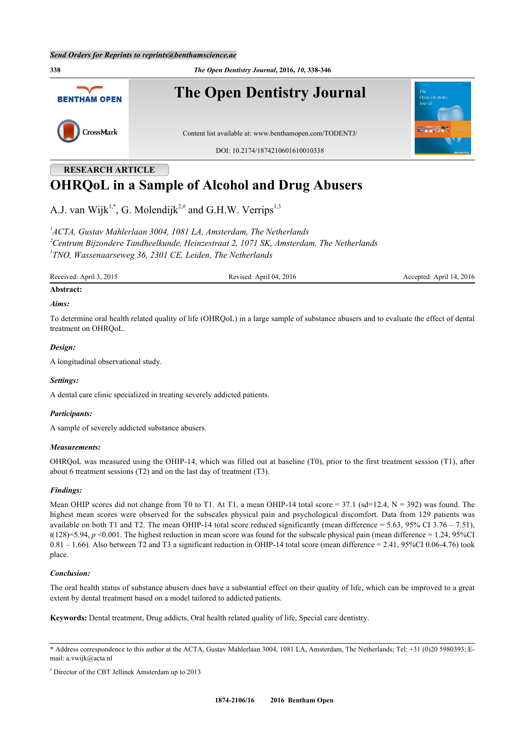**338** *The Open Dentistry Journal***, 2016,** *10***, 338-346 The Open Dentistry Journal BENTHAM OPEN** CrossMark Content list available at: [www.benthamopen.com/TODENTJ/](http://www.benthamopen.com/TODENTJ/) DOI: [10.2174/1874210601610010338](http://dx.doi.org/10.2174/1874210601610010338)

# **RESEARCH ARTICLE OHRQoL in a Sample of Alcohol and Drug Abusers**

A.J. van Wijk<sup>[1,](#page-0-0)[\\*](#page-0-1)</sup>, G. Molendijk<sup>[2,](#page-0-2)#</sup> and G.H.W. Verrips<sup>[1](#page-0-0)[,3](#page-0-3)</sup>

<span id="page-0-3"></span><span id="page-0-2"></span><span id="page-0-0"></span>*1 ACTA, Gustav Mahlerlaan 3004, 1081 LA, Amsterdam, The Netherlands <sup>2</sup>Centrum Bijzondere Tandheelkunde, Heinzestraat 2, 1071 SK, Amsterdam, The Netherlands 3 TNO, Wassenaarseweg 36, 2301 CE, Leiden, The Netherlands*

Received: April 3, 2015 Revised: April 04, 2016 Revised: April 14, 2016 Accepted: April 14, 2016

## **Abstract:**

#### *Aims:*

To determine oral health related quality of life (OHRQoL) in a large sample of substance abusers and to evaluate the effect of dental treatment on OHRQoL.

#### *Design:*

A longitudinal observational study.

#### *Settings:*

A dental care clinic specialized in treating severely addicted patients.

#### *Participants:*

A sample of severely addicted substance abusers.

#### *Measurements:*

OHRQoL was measured using the OHIP-14, which was filled out at baseline (T0), prior to the first treatment session (T1), after about 6 treatment sessions (T2) and on the last day of treatment (T3).

#### *Findings:*

Mean OHIP scores did not change from T0 to T1. At T1, a mean OHIP-14 total score =  $37.1$  (sd=12.4, N = 392) was found. The highest mean scores were observed for the subscales physical pain and psychological discomfort. Data from 129 patients was available on both T1 and T2. The mean OHIP-14 total score reduced significantly (mean difference =  $5.63$ ,  $95\%$  CI 3.76 – 7.51), t(128)=5.94,  $p \le 0.001$ . The highest reduction in mean score was found for the subscale physical pain (mean difference = 1.24, 95%CI)  $0.81 - 1.66$ ). Also between T2 and T3 a significant reduction in OHIP-14 total score (mean difference = 2.41, 95%CI 0.06-4.76) took place.

#### *Conclusion:*

The oral health status of substance abusers does have a substantial effect on their quality of life, which can be improved to a great extent by dental treatment based on a model tailored to addicted patients.

**Keywords:** Dental treatment, Drug addicts, Oral health related quality of life, Special care dentistry.

# Director of the CBT Jellinek Amsterdam up to 2013

<span id="page-0-1"></span><sup>\*</sup> Address correspondence to this author at the ACTA, Gustav Mahlerlaan 3004, 1081 LA, Amsterdam, The Netherlands; Tel: +31 (0)20 5980393; Email: [a.vwijk@acta.nl](mailto:a.vwijk@acta.nl)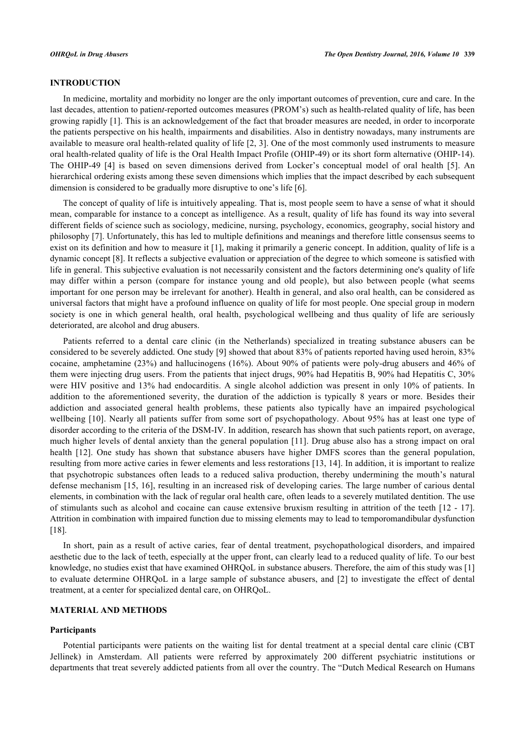#### **INTRODUCTION**

In medicine, mortality and morbidity no longer are the only important outcomes of prevention, cure and care. In the last decades, attention to patien*t*-reported outcomes measures (PROM's) such as health-related quality of life, has been growing rapidly [\[1](#page-7-0)]. This is an acknowledgement of the fact that broader measures are needed, in order to incorporate the patients perspective on his health, impairments and disabilities. Also in dentistry nowadays, many instruments are available to measure oral health-related quality of life [\[2](#page-7-1), [3\]](#page-7-2). One of the most commonly used instruments to measure oral health-related quality of life is the Oral Health Impact Profile (OHIP-49) or its short form alternative (OHIP-14). The OHIP-49[[4](#page-7-3)] is based on seven dimensions derived from Locker's conceptual model of oral health[[5\]](#page-7-4). An hierarchical ordering exists among these seven dimensions which implies that the impact described by each subsequent dimension is considered to be gradually more disruptive to one's life [\[6](#page-7-5)].

The concept of quality of life is intuitively appealing. That is, most people seem to have a sense of what it should mean, comparable for instance to a concept as intelligence. As a result, quality of life has found its way into several different fields of science such as sociology, medicine, nursing, psychology, economics, geography, social history and philosophy [[7\]](#page-7-6). Unfortunately, this has led to multiple definitions and meanings and therefore little consensus seems to exist on its definition and how to measure it [[1](#page-7-0)], making it primarily a generic concept. In addition, quality of life is a dynamic concept [\[8](#page-7-7)]. It reflects a subjective evaluation or appreciation of the degree to which someone is satisfied with life in general. This subjective evaluation is not necessarily consistent and the factors determining one's quality of life may differ within a person (compare for instance young and old people), but also between people (what seems important for one person may be irrelevant for another). Health in general, and also oral health, can be considered as universal factors that might have a profound influence on quality of life for most people. One special group in modern society is one in which general health, oral health, psychological wellbeing and thus quality of life are seriously deteriorated, are alcohol and drug abusers.

Patients referred to a dental care clinic (in the Netherlands) specialized in treating substance abusers can be considered to be severely addicted. One study [\[9](#page-7-8)] showed that about 83% of patients reported having used heroin, 83% cocaine, amphetamine (23%) and hallucinogens (16%). About 90% of patients were poly-drug abusers and 46% of them were injecting drug users. From the patients that inject drugs, 90% had Hepatitis B, 90% had Hepatitis C, 30% were HIV positive and 13% had endocarditis. A single alcohol addiction was present in only 10% of patients. In addition to the aforementioned severity, the duration of the addiction is typically 8 years or more. Besides their addiction and associated general health problems, these patients also typically have an impaired psychological wellbeing [[10](#page-7-9)]. Nearly all patients suffer from some sort of psychopathology. About 95% has at least one type of disorder according to the criteria of the DSM-IV. In addition, research has shown that such patients report, on average, much higher levels of dental anxiety than the general population [[11](#page-7-10)]. Drug abuse also has a strong impact on oral health [\[12\]](#page-7-11). One study has shown that substance abusers have higher DMFS scores than the general population, resulting from more active caries in fewer elements and less restorations [\[13,](#page-7-12) [14\]](#page-7-13). In addition, it is important to realize that psychotropic substances often leads to a reduced saliva production, thereby undermining the mouth's natural defense mechanism [[15](#page-7-14), [16](#page-7-15)], resulting in an increased risk of developing caries. The large number of carious dental elements, in combination with the lack of regular oral health care, often leads to a severely mutilated dentition. The use of stimulants such as alcohol and cocaine can cause extensive bruxism resulting in attrition of the teeth [[12](#page-7-11) - [17\]](#page-7-16). Attrition in combination with impaired function due to missing elements may to lead to temporomandibular dysfunction [\[18](#page-7-17)].

In short, pain as a result of active caries, fear of dental treatment, psychopathological disorders, and impaired aesthetic due to the lack of teeth, especially at the upper front, can clearly lead to a reduced quality of life. To our best knowledge, no studies exist that have examined OHRQoL in substance abusers. Therefore, the aim of this study was [\[1](#page-7-0)] to evaluate determine OHRQoL in a large sample of substance abusers, and [[2](#page-7-1)] to investigate the effect of dental treatment, at a center for specialized dental care, on OHRQoL.

#### **MATERIAL AND METHODS**

#### **Participants**

Potential participants were patients on the waiting list for dental treatment at a special dental care clinic (CBT Jellinek) in Amsterdam. All patients were referred by approximately 200 different psychiatric institutions or departments that treat severely addicted patients from all over the country. The "Dutch Medical Research on Humans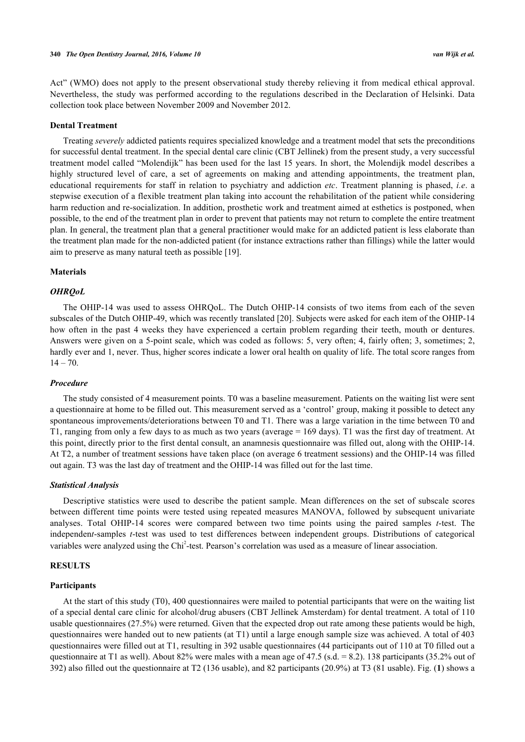Act" (WMO) does not apply to the present observational study thereby relieving it from medical ethical approval. Nevertheless, the study was performed according to the regulations described in the Declaration of Helsinki. Data collection took place between November 2009 and November 2012.

#### **Dental Treatment**

Treating *severely* addicted patients requires specialized knowledge and a treatment model that sets the preconditions for successful dental treatment. In the special dental care clinic (CBT Jellinek) from the present study, a very successful treatment model called "Molendijk" has been used for the last 15 years. In short, the Molendijk model describes a highly structured level of care, a set of agreements on making and attending appointments, the treatment plan, educational requirements for staff in relation to psychiatry and addiction *etc*. Treatment planning is phased, *i.e*. a stepwise execution of a flexible treatment plan taking into account the rehabilitation of the patient while considering harm reduction and re-socialization. In addition, prosthetic work and treatment aimed at esthetics is postponed, when possible, to the end of the treatment plan in order to prevent that patients may not return to complete the entire treatment plan. In general, the treatment plan that a general practitioner would make for an addicted patient is less elaborate than the treatment plan made for the non-addicted patient (for instance extractions rather than fillings) while the latter would aim to preserve as many natural teeth as possible [\[19](#page-7-18)].

#### **Materials**

#### *OHRQoL*

The OHIP-14 was used to assess OHRQoL. The Dutch OHIP-14 consists of two items from each of the seven subscales of the Dutch OHIP-49, which was recently translated [\[20\]](#page-7-19). Subjects were asked for each item of the OHIP-14 how often in the past 4 weeks they have experienced a certain problem regarding their teeth, mouth or dentures. Answers were given on a 5-point scale, which was coded as follows: 5, very often; 4, fairly often; 3, sometimes; 2, hardly ever and 1, never. Thus, higher scores indicate a lower oral health on quality of life. The total score ranges from  $14 - 70.$ 

#### *Procedure*

The study consisted of 4 measurement points. T0 was a baseline measurement. Patients on the waiting list were sent a questionnaire at home to be filled out. This measurement served as a 'control' group, making it possible to detect any spontaneous improvements/deteriorations between T0 and T1. There was a large variation in the time between T0 and T1, ranging from only a few days to as much as two years (average = 169 days). T1 was the first day of treatment. At this point, directly prior to the first dental consult, an anamnesis questionnaire was filled out, along with the OHIP-14. At T2, a number of treatment sessions have taken place (on average 6 treatment sessions) and the OHIP-14 was filled out again. T3 was the last day of treatment and the OHIP-14 was filled out for the last time.

#### *Statistical Analysis*

Descriptive statistics were used to describe the patient sample. Mean differences on the set of subscale scores between different time points were tested using repeated measures MANOVA, followed by subsequent univariate analyses. Total OHIP-14 scores were compared between two time points using the paired samples *t*-test. The independen*t*-samples *t*-test was used to test differences between independent groups. Distributions of categorical variables were analyzed using the Chi<sup>2</sup>-test. Pearson's correlation was used as a measure of linear association.

#### **RESULTS**

#### **Participants**

At the start of this study (T0), 400 questionnaires were mailed to potential participants that were on the waiting list of a special dental care clinic for alcohol/drug abusers (CBT Jellinek Amsterdam) for dental treatment. A total of 110 usable questionnaires (27.5%) were returned. Given that the expected drop out rate among these patients would be high, questionnaires were handed out to new patients (at T1) until a large enough sample size was achieved. A total of 403 questionnaires were filled out at T1, resulting in 392 usable questionnaires (44 participants out of 110 at T0 filled out a questionnaire at T1 as well). About 82% were males with a mean age of 47.5 (s.d.  $= 8.2$ ). 138 participants (35.2% out of 392) also filled out the questionnaire at T2 (136 usable), and 82 participants (20.9%) at T3 (81 usable). Fig. (**[1](#page-4-0)**) shows a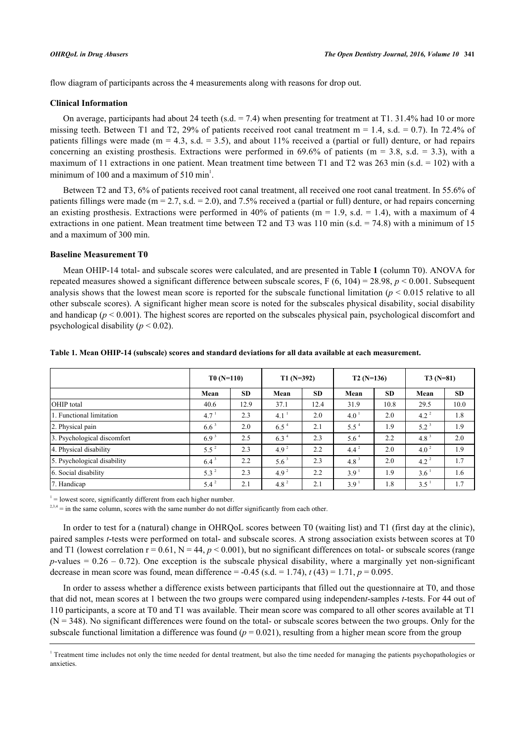flow diagram of participants across the 4 measurements along with reasons for drop out.

#### **Clinical Information**

On average, participants had about 24 teeth (s.d.  $= 7.4$ ) when presenting for treatment at T1. 31.4% had 10 or more missing teeth. Between T1 and T2, 29% of patients received root canal treatment  $m = 1.4$ , s.d. = 0.7). In 72.4% of patients fillings were made (m = 4.3, s.d. = 3.5), and about 11% received a (partial or full) denture, or had repairs concerning an existing prosthesis. Extractions were performed in 69.6% of patients ( $m = 3.8$ , s.d. = 3.3), with a maximum of 11 extractions in one patient. Mean treatment time between T1 and T2 was 263 min (s.d. = 102) with a minimum of 100 and a maximum of 510 min<sup>1</sup>.

Between T2 and T3, 6% of patients received root canal treatment, all received one root canal treatment. In 55.6% of patients fillings were made ( $m = 2.7$ , s.d. = 2.0), and 7.5% received a (partial or full) denture, or had repairs concerning an existing prosthesis. Extractions were performed in 40% of patients ( $m = 1.9$ , s.d. = 1.4), with a maximum of 4 extractions in one patient. Mean treatment time between T2 and T3 was 110 min (s.d.  $= 74.8$ ) with a minimum of 15 and a maximum of 300 min.

#### **Baseline Measurement T0**

Mean OHIP-14 total- and subscale scores were calculated, and are presented in Table **[1](#page-3-0)** (column T0). ANOVA for repeated measures showed a significant difference between subscale scores, F (6, 104) = 28.98, *p* < 0.001. Subsequent analysis shows that the lowest mean score is reported for the subscale functional limitation ( $p < 0.015$  relative to all other subscale scores). A significant higher mean score is noted for the subscales physical disability, social disability and handicap ( $p < 0.001$ ). The highest scores are reported on the subscales physical pain, psychological discomfort and psychological disability  $(p < 0.02)$ .

|                             | $T0(N=110)$      |           | $T1(N=392)$      |           | $T2(N=136)$      |           | $T3(N=81)$       |           |
|-----------------------------|------------------|-----------|------------------|-----------|------------------|-----------|------------------|-----------|
|                             | Mean             | <b>SD</b> | Mean             | <b>SD</b> | Mean             | <b>SD</b> | Mean             | <b>SD</b> |
| OHIP total                  | 40.6             | 12.9      | 37.1             | 12.4      | 31.9             | 10.8      | 29.5             | 10.0      |
| 1. Functional limitation    | $4.7^{\circ}$    | 2.3       | 4.1              | 2.0       | 4.0              | 2.0       | $4.2^2$          | 1.8       |
| 2. Physical pain            | $6.6^3$          | 2.0       | $6.5^{\text{4}}$ | 2.1       | $5.5^4$          | 1.9       | $5.2^3$          | 1.9       |
| 3. Psychological discomfort | 6.9 <sup>3</sup> | 2.5       | $6.3^4$          | 2.3       | $5.6^4$          | 2.2       | 4.8 <sup>3</sup> | 2.0       |
| 4. Physical disability      | $5.5^2$          | 2.3       | $4.9^2$          | 2.2       | $4.4^2$          | 2.0       | $4.0^2$          | 1.9       |
| 5. Psychological disability | $6.4^3$          | 2.2       | $5.6^3$          | 2.3       | $4.8^3$          | 2.0       | $4.2^2$          | 1.7       |
| 6. Social disability        | $5.3^2$          | 2.3       | $4.9^2$          | 2.2       | 3.9 <sup>1</sup> | 1.9       | $3.6^{\circ}$    | 1.6       |
| 7. Handicap                 | $5.4^2$          | 2.1       | $4.8^2$          | 2.1       | 3.9 <sup>1</sup> | 1.8       | $3.5^{\circ}$    | 1.7       |

<span id="page-3-0"></span>**Table 1. Mean OHIP-14 (subscale) scores and standard deviations for all data available at each measurement.**

 $1 =$ lowest score, significantly different from each higher number.

 $23,4$  = in the same column, scores with the same number do not differ significantly from each other.

In order to test for a (natural) change in OHRQoL scores between T0 (waiting list) and T1 (first day at the clinic), paired samples *t*-tests were performed on total- and subscale scores. A strong association exists between scores at T0 and T1 (lowest correlation  $r = 0.61$ ,  $N = 44$ ,  $p < 0.001$ ), but no significant differences on total- or subscale scores (range  $p$ -values = 0.26 – 0.72). One exception is the subscale physical disability, where a marginally yet non-significant decrease in mean score was found, mean difference =  $-0.45$  (s.d. = 1.74), *t* (43) = 1.71, *p* = 0.095.

In order to assess whether a difference exists between participants that filled out the questionnaire at T0, and those that did not, mean scores at [1](#page-3-0) between the two groups were compared using independen*t*-samples *t*-tests. For 44 out of 110 participants, a score at T0 and T1 was available. Their mean score was compared to all other scores available at T1  $(N = 348)$ . No significant differences were found on the total- or subscale scores between the two groups. Only for the subscale functional limitation a difference was found  $(p = 0.021)$ , resulting from a higher mean score from the group

<sup>&</sup>lt;sup>1</sup> Treatment time includes not only the time needed for dental treatment, but also the time needed for managing the patients psychopathologies or anxieties.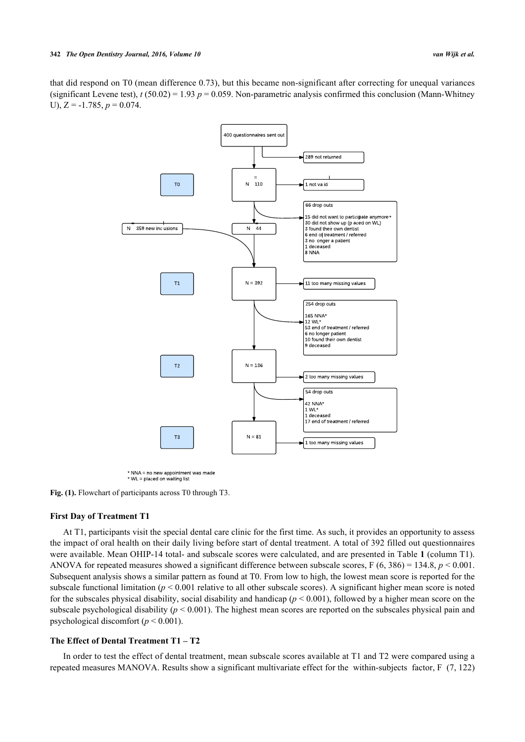<span id="page-4-0"></span>that did respond on T0 (mean difference 0.73), but this became non-significant after correcting for unequal variances (significant Levene test),  $t$  (50.02) = 1.93  $p = 0.059$ . Non-parametric analysis confirmed this conclusion (Mann-Whitney U),  $Z = -1.785$ ,  $p = 0.074$ .



 $*$  NNA = no new appointment was made \* WL = placed on waiting list

Fig. (1). Flowchart of participants across T0 through T3.

#### **First Day of Treatment T1**

At T1, participants visit the special dental care clinic for the first time. As such, it provides an opportunity to assess the impact of oral health on their daily living before start of dental treatment. A total of 392 filled out questionnaires were available. Mean OHIP-14 total- and subscale scores were calculated, and are presented in Table **[1](#page-3-0)** (column T1). ANOVA for repeated measures showed a significant difference between subscale scores,  $F(6, 386) = 134.8$ ,  $p < 0.001$ . Subsequent analysis shows a similar pattern as found at T0. From low to high, the lowest mean score is reported for the subscale functional limitation ( $p < 0.001$  relative to all other subscale scores). A significant higher mean score is noted for the subscales physical disability, social disability and handicap  $(p < 0.001)$ , followed by a higher mean score on the subscale psychological disability (*p* < 0.001). The highest mean scores are reported on the subscales physical pain and psychological discomfort (*p* < 0.001).

#### **The Effect of Dental Treatment T1 – T2**

In order to test the effect of dental treatment, mean subscale scores available at T1 and T2 were compared using a repeated measures MANOVA. Results show a significant multivariate effect for the within-subjects factor, F (7, 122)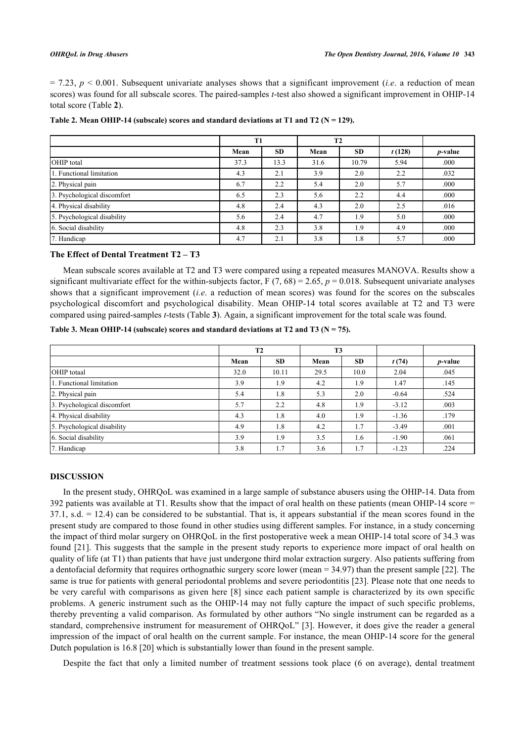$= 7.23$ ,  $p < 0.001$ . Subsequent univariate analyses shows that a significant improvement *(i.e.* a reduction of mean scores) was found for all subscale scores. The paired-samples *t*-test also showed a significant improvement in OHIP-14 total score (Table **[2](#page-5-0)**).

|                             | T <sub>1</sub> |           | <b>T2</b> |           |        |                 |
|-----------------------------|----------------|-----------|-----------|-----------|--------|-----------------|
|                             | Mean           | <b>SD</b> | Mean      | <b>SD</b> | t(128) | <i>p</i> -value |
| OHIP total                  | 37.3           | 13.3      | 31.6      | 10.79     | 5.94   | .000            |
| 1. Functional limitation    | 4.3            | 2.1       | 3.9       | 2.0       | 2.2    | .032            |
| 2. Physical pain            | 6.7            | 2.2       | 5.4       | 2.0       | 5.7    | .000            |
| 3. Psychological discomfort | 6.5            | 2.3       | 5.6       | 2.2       | 4.4    | .000            |
| 4. Physical disability      | 4.8            | 2.4       | 4.3       | 2.0       | 2.5    | .016            |
| 5. Psychological disability | 5.6            | 2.4       | 4.7       | 1.9       | 5.0    | .000            |
| 6. Social disability        | 4.8            | 2.3       | 3.8       | 1.9       | 4.9    | .000            |
| 7. Handicap                 | 4.7            | 2.1       | 3.8       | 1.8       | 5.7    | .000            |

#### <span id="page-5-0"></span>Table 2. Mean OHIP-14 (subscale) scores and standard deviations at T1 and T2 ( $N = 129$ ).

#### **The Effect of Dental Treatment T2 – T3**

Mean subscale scores available at T2 and T3 were compared using a repeated measures MANOVA. Results show a significant multivariate effect for the within-subjects factor,  $F(7, 68) = 2.65$ ,  $p = 0.018$ . Subsequent univariate analyses shows that a significant improvement (*i.e*. a reduction of mean scores) was found for the scores on the subscales psychological discomfort and psychological disability. Mean OHIP-14 total scores available at T2 and T3 were compared using paired-samples *t*-tests (Table **[3](#page-5-1)**). Again, a significant improvement for the total scale was found.

<span id="page-5-1"></span>

|                             | T <sub>2</sub> |           | T <sub>3</sub> |           |         |                 |
|-----------------------------|----------------|-----------|----------------|-----------|---------|-----------------|
|                             | Mean           | <b>SD</b> | Mean           | <b>SD</b> | t(74)   | <i>p</i> -value |
| OHIP totaal                 | 32.0           | 10.11     | 29.5           | 10.0      | 2.04    | .045            |
| 1. Functional limitation    | 3.9            | 1.9       | 4.2            | 1.9       | 1.47    | .145            |
| 2. Physical pain            | 5.4            | 1.8       | 5.3            | 2.0       | $-0.64$ | .524            |
| 3. Psychological discomfort | 5.7            | 2.2       | 4.8            | 1.9       | $-3.12$ | .003            |
| 4. Physical disability      | 4.3            | 1.8       | 4.0            | 1.9       | $-1.36$ | .179            |
| 5. Psychological disability | 4.9            | 1.8       | 4.2            | 1.7       | $-3.49$ | .001            |
| 6. Social disability        | 3.9            | 1.9       | 3.5            | 1.6       | $-1.90$ | .061            |
| 7. Handicap                 | 3.8            | 1.7       | 3.6            | 1.7       | $-1.23$ | .224            |

#### **DISCUSSION**

In the present study, OHRQoL was examined in a large sample of substance abusers using the OHIP-14. Data from 392 patients was available at T1. Results show that the impact of oral health on these patients (mean OHIP-14 score =  $37.1$ , s.d.  $= 12.4$ ) can be considered to be substantial. That is, it appears substantial if the mean scores found in the present study are compared to those found in other studies using different samples. For instance, in a study concerning the impact of third molar surgery on OHRQoL in the first postoperative week a mean OHIP-14 total score of 34.3 was found [\[21\]](#page-7-20). This suggests that the sample in the present study reports to experience more impact of oral health on quality of life (at T1) than patients that have just undergone third molar extraction surgery. Also patients suffering from a dentofacial deformity that requires orthognathic surgery score lower (mean = 34.97) than the present sample [[22\]](#page-8-0). The same is true for patients with general periodontal problems and severe periodontitis [\[23](#page-8-1)]. Please note that one needs to be very careful with comparisons as given here [[8](#page-7-7)] since each patient sample is characterized by its own specific problems. A generic instrument such as the OHIP-14 may not fully capture the impact of such specific problems, thereby preventing a valid comparison. As formulated by other authors "No single instrument can be regarded as a standard, comprehensive instrument for measurement of OHRQoL" [[3](#page-7-2)]. However, it does give the reader a general impression of the impact of oral health on the current sample. For instance, the mean OHIP-14 score for the general Dutch population is 16.8 [\[20](#page-7-19)] which is substantially lower than found in the present sample.

Despite the fact that only a limited number of treatment sessions took place (6 on average), dental treatment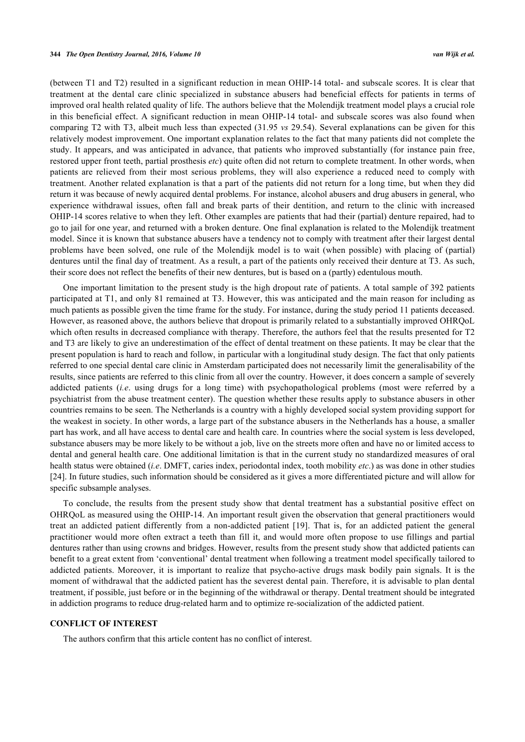(between T1 and T2) resulted in a significant reduction in mean OHIP-14 total- and subscale scores. It is clear that treatment at the dental care clinic specialized in substance abusers had beneficial effects for patients in terms of improved oral health related quality of life. The authors believe that the Molendijk treatment model plays a crucial role in this beneficial effect. A significant reduction in mean OHIP-14 total- and subscale scores was also found when comparing T2 with T3, albeit much less than expected (31.95 *vs* 29.54). Several explanations can be given for this relatively modest improvement. One important explanation relates to the fact that many patients did not complete the study. It appears, and was anticipated in advance, that patients who improved substantially (for instance pain free, restored upper front teeth, partial prosthesis *etc*) quite often did not return to complete treatment. In other words, when patients are relieved from their most serious problems, they will also experience a reduced need to comply with treatment. Another related explanation is that a part of the patients did not return for a long time, but when they did return it was because of newly acquired dental problems. For instance, alcohol abusers and drug abusers in general, who experience withdrawal issues, often fall and break parts of their dentition, and return to the clinic with increased OHIP-14 scores relative to when they left. Other examples are patients that had their (partial) denture repaired, had to go to jail for one year, and returned with a broken denture. One final explanation is related to the Molendijk treatment model. Since it is known that substance abusers have a tendency not to comply with treatment after their largest dental problems have been solved, one rule of the Molendijk model is to wait (when possible) with placing of (partial) dentures until the final day of treatment. As a result, a part of the patients only received their denture at T3. As such, their score does not reflect the benefits of their new dentures, but is based on a (partly) edentulous mouth.

One important limitation to the present study is the high dropout rate of patients. A total sample of 392 patients participated at T1, and only 81 remained at T3. However, this was anticipated and the main reason for including as much patients as possible given the time frame for the study. For instance, during the study period 11 patients deceased. However, as reasoned above, the authors believe that dropout is primarily related to a substantially improved OHRQoL which often results in decreased compliance with therapy. Therefore, the authors feel that the results presented for T2 and T3 are likely to give an underestimation of the effect of dental treatment on these patients. It may be clear that the present population is hard to reach and follow, in particular with a longitudinal study design. The fact that only patients referred to one special dental care clinic in Amsterdam participated does not necessarily limit the generalisability of the results, since patients are referred to this clinic from all over the country. However, it does concern a sample of severely addicted patients (*i.e*. using drugs for a long time) with psychopathological problems (most were referred by a psychiatrist from the abuse treatment center). The question whether these results apply to substance abusers in other countries remains to be seen. The Netherlands is a country with a highly developed social system providing support for the weakest in society. In other words, a large part of the substance abusers in the Netherlands has a house, a smaller part has work, and all have access to dental care and health care. In countries where the social system is less developed, substance abusers may be more likely to be without a job, live on the streets more often and have no or limited access to dental and general health care. One additional limitation is that in the current study no standardized measures of oral health status were obtained (*i.e*. DMFT, caries index, periodontal index, tooth mobility *etc*.) as was done in other studies [\[24](#page-8-2)]. In future studies, such information should be considered as it gives a more differentiated picture and will allow for specific subsample analyses.

To conclude, the results from the present study show that dental treatment has a substantial positive effect on OHRQoL as measured using the OHIP-14. An important result given the observation that general practitioners would treat an addicted patient differently from a non-addicted patient[[19\]](#page-7-18). That is, for an addicted patient the general practitioner would more often extract a teeth than fill it, and would more often propose to use fillings and partial dentures rather than using crowns and bridges. However, results from the present study show that addicted patients can benefit to a great extent from 'conventional' dental treatment when following a treatment model specifically tailored to addicted patients. Moreover, it is important to realize that psycho-active drugs mask bodily pain signals. It is the moment of withdrawal that the addicted patient has the severest dental pain. Therefore, it is advisable to plan dental treatment, if possible, just before or in the beginning of the withdrawal or therapy. Dental treatment should be integrated in addiction programs to reduce drug-related harm and to optimize re-socialization of the addicted patient.

#### **CONFLICT OF INTEREST**

The authors confirm that this article content has no conflict of interest.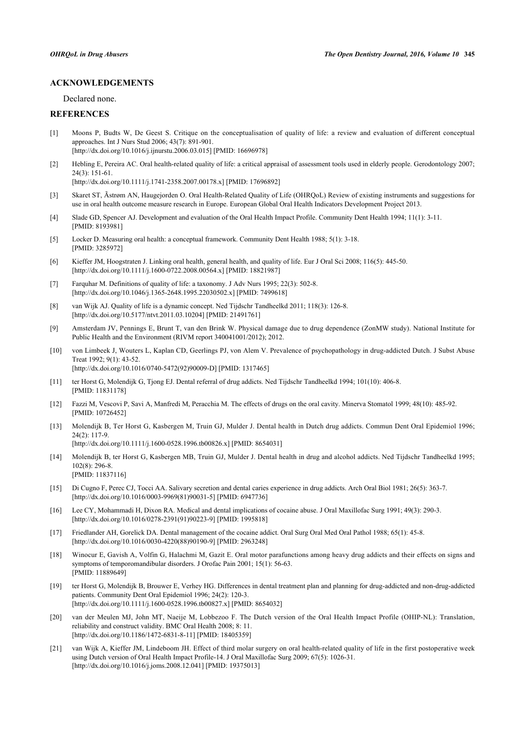#### **ACKNOWLEDGEMENTS**

Declared none.

### **REFERENCES**

- <span id="page-7-0"></span>[1] Moons P, Budts W, De Geest S. Critique on the conceptualisation of quality of life: a review and evaluation of different conceptual approaches. Int J Nurs Stud 2006; 43(7): 891-901. [\[http://dx.doi.org/10.1016/j.ijnurstu.2006.03.015](http://dx.doi.org/10.1016/j.ijnurstu.2006.03.015)] [PMID: [16696978](http://www.ncbi.nlm.nih.gov/pubmed/16696978)]
- <span id="page-7-1"></span>[2] Hebling E, Pereira AC. Oral health-related quality of life: a critical appraisal of assessment tools used in elderly people. Gerodontology 2007; 24(3): 151-61.

[\[http://dx.doi.org/10.1111/j.1741-2358.2007.00178.x\]](http://dx.doi.org/10.1111/j.1741-2358.2007.00178.x) [PMID: [17696892](http://www.ncbi.nlm.nih.gov/pubmed/17696892)]

- <span id="page-7-2"></span>[3] Skaret ST, Ãstrøm AN, Haugejorden O. Oral Health-Related Quality of Life (OHRQoL) Review of existing instruments and suggestions for use in oral health outcome measure research in Europe. European Global Oral Health Indicators Development Project 2013.
- <span id="page-7-3"></span>[4] Slade GD, Spencer AJ. Development and evaluation of the Oral Health Impact Profile. Community Dent Health 1994; 11(1): 3-11. [PMID: [8193981\]](http://www.ncbi.nlm.nih.gov/pubmed/8193981)
- <span id="page-7-4"></span>[5] Locker D. Measuring oral health: a conceptual framework. Community Dent Health 1988; 5(1): 3-18. [PMID: [3285972\]](http://www.ncbi.nlm.nih.gov/pubmed/3285972)
- <span id="page-7-5"></span>[6] Kieffer JM, Hoogstraten J. Linking oral health, general health, and quality of life. Eur J Oral Sci 2008; 116(5): 445-50. [\[http://dx.doi.org/10.1111/j.1600-0722.2008.00564.x\]](http://dx.doi.org/10.1111/j.1600-0722.2008.00564.x) [PMID: [18821987](http://www.ncbi.nlm.nih.gov/pubmed/18821987)]
- <span id="page-7-6"></span>[7] Farquhar M. Definitions of quality of life: a taxonomy. J Adv Nurs 1995; 22(3): 502-8. [\[http://dx.doi.org/10.1046/j.1365-2648.1995.22030502.x\]](http://dx.doi.org/10.1046/j.1365-2648.1995.22030502.x) [PMID: [7499618](http://www.ncbi.nlm.nih.gov/pubmed/7499618)]
- <span id="page-7-7"></span>[8] van Wijk AJ. Quality of life is a dynamic concept. Ned Tijdschr Tandheelkd 2011; 118(3): 126-8. [\[http://dx.doi.org/10.5177/ntvt.2011.03.10204](http://dx.doi.org/10.5177/ntvt.2011.03.10204)] [PMID: [21491761\]](http://www.ncbi.nlm.nih.gov/pubmed/21491761)
- <span id="page-7-8"></span>[9] Amsterdam JV, Pennings E, Brunt T, van den Brink W. Physical damage due to drug dependence (ZonMW study). National Institute for Public Health and the Environment (RIVM report 340041001/2012); 2012.
- <span id="page-7-9"></span>[10] von Limbeek J, Wouters L, Kaplan CD, Geerlings PJ, von Alem V. Prevalence of psychopathology in drug-addicted Dutch. J Subst Abuse Treat 1992; 9(1): 43-52. [\[http://dx.doi.org/10.1016/0740-5472\(92\)90009-D](http://dx.doi.org/10.1016/0740-5472(92)90009-D)] [PMID: [1317465\]](http://www.ncbi.nlm.nih.gov/pubmed/1317465)
- <span id="page-7-10"></span>[11] ter Horst G, Molendijk G, Tjong EJ. Dental referral of drug addicts. Ned Tijdschr Tandheelkd 1994; 101(10): 406-8. [PMID: [11831178\]](http://www.ncbi.nlm.nih.gov/pubmed/11831178)
- <span id="page-7-11"></span>[12] Fazzi M, Vescovi P, Savi A, Manfredi M, Peracchia M. The effects of drugs on the oral cavity. Minerva Stomatol 1999; 48(10): 485-92. [PMID: [10726452\]](http://www.ncbi.nlm.nih.gov/pubmed/10726452)
- <span id="page-7-12"></span>[13] Molendijk B, Ter Horst G, Kasbergen M, Truin GJ, Mulder J. Dental health in Dutch drug addicts. Commun Dent Oral Epidemiol 1996; 24(2): 117-9. [\[http://dx.doi.org/10.1111/j.1600-0528.1996.tb00826.x\]](http://dx.doi.org/10.1111/j.1600-0528.1996.tb00826.x) [PMID: [8654031](http://www.ncbi.nlm.nih.gov/pubmed/8654031)]
- <span id="page-7-13"></span>[14] Molendijk B, ter Horst G, Kasbergen MB, Truin GJ, Mulder J. Dental health in drug and alcohol addicts. Ned Tijdschr Tandheelkd 1995;  $102(8)$ : 296-8. [PMID: [11837116\]](http://www.ncbi.nlm.nih.gov/pubmed/11837116)
- <span id="page-7-14"></span>[15] Di Cugno F, Perec CJ, Tocci AA. Salivary secretion and dental caries experience in drug addicts. Arch Oral Biol 1981; 26(5): 363-7. [\[http://dx.doi.org/10.1016/0003-9969\(81\)90031-5](http://dx.doi.org/10.1016/0003-9969(81)90031-5)] [PMID: [6947736](http://www.ncbi.nlm.nih.gov/pubmed/6947736)]
- <span id="page-7-15"></span>[16] Lee CY, Mohammadi H, Dixon RA. Medical and dental implications of cocaine abuse. J Oral Maxillofac Surg 1991; 49(3): 290-3. [\[http://dx.doi.org/10.1016/0278-2391\(91\)90223-9](http://dx.doi.org/10.1016/0278-2391(91)90223-9)] [PMID: [1995818](http://www.ncbi.nlm.nih.gov/pubmed/1995818)]
- <span id="page-7-16"></span>[17] Friedlander AH, Gorelick DA. Dental management of the cocaine addict. Oral Surg Oral Med Oral Pathol 1988; 65(1): 45-8. [\[http://dx.doi.org/10.1016/0030-4220\(88\)90190-9](http://dx.doi.org/10.1016/0030-4220(88)90190-9)] [PMID: [2963248](http://www.ncbi.nlm.nih.gov/pubmed/2963248)]
- <span id="page-7-17"></span>[18] Winocur E, Gavish A, Volfin G, Halachmi M, Gazit E. Oral motor parafunctions among heavy drug addicts and their effects on signs and symptoms of temporomandibular disorders. J Orofac Pain 2001; 15(1): 56-63. [PMID: [11889649\]](http://www.ncbi.nlm.nih.gov/pubmed/11889649)
- <span id="page-7-18"></span>[19] ter Horst G, Molendijk B, Brouwer E, Verhey HG. Differences in dental treatment plan and planning for drug-addicted and non-drug-addicted patients. Community Dent Oral Epidemiol 1996; 24(2): 120-3. [\[http://dx.doi.org/10.1111/j.1600-0528.1996.tb00827.x\]](http://dx.doi.org/10.1111/j.1600-0528.1996.tb00827.x) [PMID: [8654032](http://www.ncbi.nlm.nih.gov/pubmed/8654032)]
- <span id="page-7-19"></span>[20] van der Meulen MJ, John MT, Naeije M, Lobbezoo F. The Dutch version of the Oral Health Impact Profile (OHIP-NL): Translation, reliability and construct validity. BMC Oral Health 2008; 8: 11. [\[http://dx.doi.org/10.1186/1472-6831-8-11\]](http://dx.doi.org/10.1186/1472-6831-8-11) [PMID: [18405359](http://www.ncbi.nlm.nih.gov/pubmed/18405359)]
- <span id="page-7-20"></span>[21] van Wijk A, Kieffer JM, Lindeboom JH. Effect of third molar surgery on oral health-related quality of life in the first postoperative week using Dutch version of Oral Health Impact Profile-14. J Oral Maxillofac Surg 2009; 67(5): 1026-31. [\[http://dx.doi.org/10.1016/j.joms.2008.12.041\]](http://dx.doi.org/10.1016/j.joms.2008.12.041) [PMID: [19375013](http://www.ncbi.nlm.nih.gov/pubmed/19375013)]